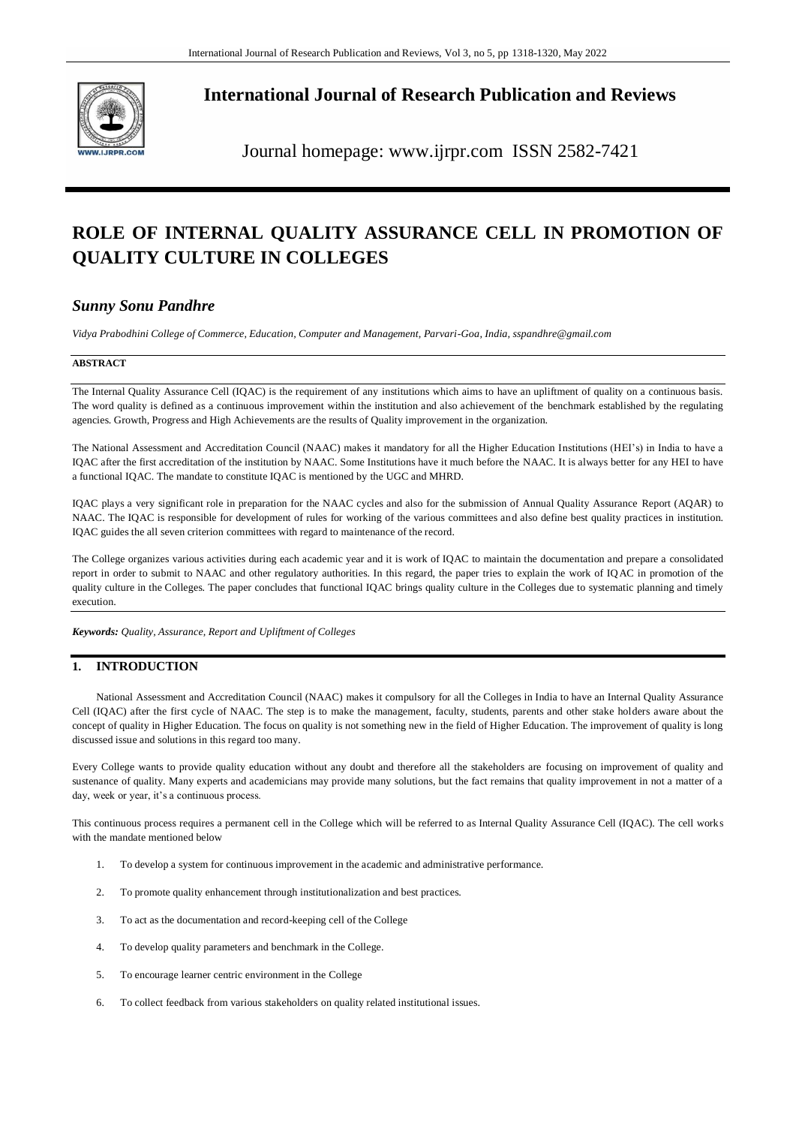

**International Journal of Research Publication and Reviews**

Journal homepage: www.ijrpr.com ISSN 2582-7421

# **ROLE OF INTERNAL QUALITY ASSURANCE CELL IN PROMOTION OF QUALITY CULTURE IN COLLEGES**

# *Sunny Sonu Pandhre*

*Vidya Prabodhini College of Commerce, Education, Computer and Management, Parvari-Goa, India, sspandhre@gmail.com*

### **ABSTRACT**

The Internal Quality Assurance Cell (IQAC) is the requirement of any institutions which aims to have an upliftment of quality on a continuous basis. The word quality is defined as a continuous improvement within the institution and also achievement of the benchmark established by the regulating agencies. Growth, Progress and High Achievements are the results of Quality improvement in the organization.

The National Assessment and Accreditation Council (NAAC) makes it mandatory for all the Higher Education Institutions (HEI's) in India to have a IQAC after the first accreditation of the institution by NAAC. Some Institutions have it much before the NAAC. It is always better for any HEI to have a functional IQAC. The mandate to constitute IQAC is mentioned by the UGC and MHRD.

IQAC plays a very significant role in preparation for the NAAC cycles and also for the submission of Annual Quality Assurance Report (AQAR) to NAAC. The IQAC is responsible for development of rules for working of the various committees and also define best quality practices in institution. IQAC guides the all seven criterion committees with regard to maintenance of the record.

The College organizes various activities during each academic year and it is work of IQAC to maintain the documentation and prepare a consolidated report in order to submit to NAAC and other regulatory authorities. In this regard, the paper tries to explain the work of IQAC in promotion of the quality culture in the Colleges. The paper concludes that functional IQAC brings quality culture in the Colleges due to systematic planning and timely execution.

*Keywords: Quality, Assurance, Report and Upliftment of Colleges* 

# **1. INTRODUCTION**

National Assessment and Accreditation Council (NAAC) makes it compulsory for all the Colleges in India to have an Internal Quality Assurance Cell (IQAC) after the first cycle of NAAC. The step is to make the management, faculty, students, parents and other stake holders aware about the concept of quality in Higher Education. The focus on quality is not something new in the field of Higher Education. The improvement of quality is long discussed issue and solutions in this regard too many.

Every College wants to provide quality education without any doubt and therefore all the stakeholders are focusing on improvement of quality and sustenance of quality. Many experts and academicians may provide many solutions, but the fact remains that quality improvement in not a matter of a day, week or year, it's a continuous process.

This continuous process requires a permanent cell in the College which will be referred to as Internal Quality Assurance Cell (IQAC). The cell works with the mandate mentioned below

- 1. To develop a system for continuous improvement in the academic and administrative performance.
- 2. To promote quality enhancement through institutionalization and best practices.
- 3. To act as the documentation and record-keeping cell of the College
- 4. To develop quality parameters and benchmark in the College.
- 5. To encourage learner centric environment in the College
- 6. To collect feedback from various stakeholders on quality related institutional issues.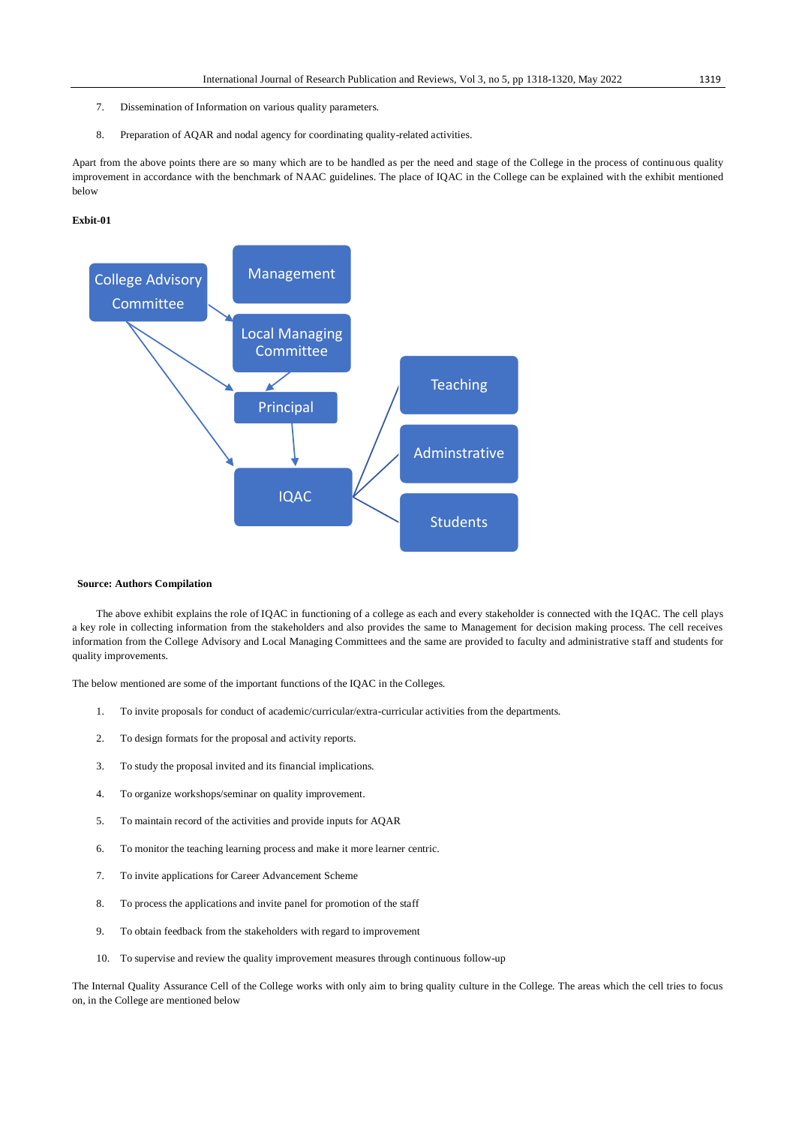- 7. Dissemination of Information on various quality parameters.
- 8. Preparation of AQAR and nodal agency for coordinating quality-related activities.

Apart from the above points there are so many which are to be handled as per the need and stage of the College in the process of continuous quality improvement in accordance with the benchmark of NAAC guidelines. The place of IQAC in the College can be explained with the exhibit mentioned below

#### **Exbit-01**



#### **Source: Authors Compilation**

The above exhibit explains the role of IQAC in functioning of a college as each and every stakeholder is connected with the IQAC. The cell plays a key role in collecting information from the stakeholders and also provides the same to Management for decision making process. The cell receives information from the College Advisory and Local Managing Committees and the same are provided to faculty and administrative staff and students for quality improvements.

The below mentioned are some of the important functions of the IQAC in the Colleges.

- 1. To invite proposals for conduct of academic/curricular/extra-curricular activities from the departments.
- 2. To design formats for the proposal and activity reports.
- 3. To study the proposal invited and its financial implications.
- 4. To organize workshops/seminar on quality improvement.
- 5. To maintain record of the activities and provide inputs for AQAR
- 6. To monitor the teaching learning process and make it more learner centric.
- 7. To invite applications for Career Advancement Scheme
- 8. To process the applications and invite panel for promotion of the staff
- 9. To obtain feedback from the stakeholders with regard to improvement
- 10. To supervise and review the quality improvement measures through continuous follow-up

The Internal Quality Assurance Cell of the College works with only aim to bring quality culture in the College. The areas which the cell tries to focus on, in the College are mentioned below